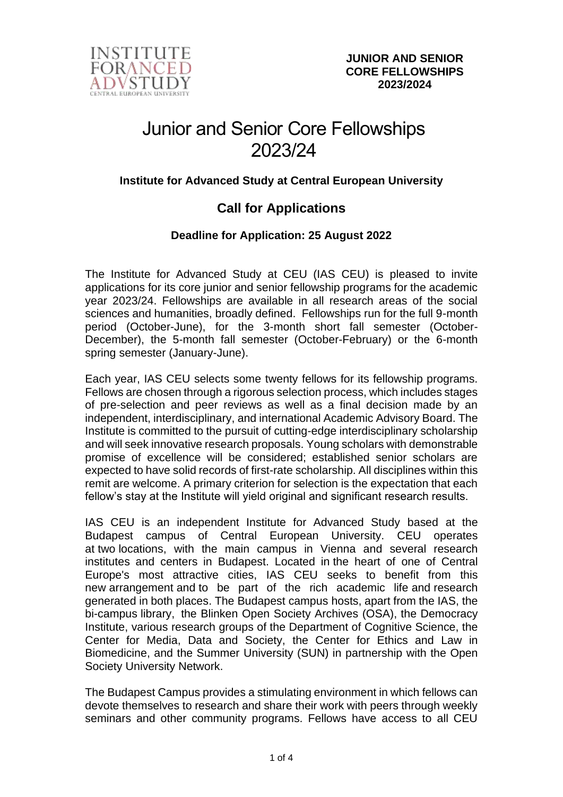

# Junior and Senior Core Fellowships 2023/24

#### **Institute for Advanced Study at Central European University**

### **Call for Applications**

#### **Deadline for Application: 25 August 2022**

The Institute for Advanced Study at CEU (IAS CEU) is pleased to invite applications for its core junior and senior fellowship programs for the academic year 2023/24. Fellowships are available in all research areas of the social sciences and humanities, broadly defined. Fellowships run for the full 9-month period (October-June), for the 3-month short fall semester (October-December), the 5-month fall semester (October-February) or the 6-month spring semester (January-June).

Each year, IAS CEU selects some twenty fellows for its fellowship programs. Fellows are chosen through a rigorous selection process, which includes stages of pre-selection and peer reviews as well as a final decision made by an independent, interdisciplinary, and international Academic Advisory Board. The Institute is committed to the pursuit of cutting-edge interdisciplinary scholarship and will seek innovative research proposals. Young scholars with demonstrable promise of excellence will be considered; established senior scholars are expected to have solid records of first-rate scholarship. All disciplines within this remit are welcome. A primary criterion for selection is the expectation that each fellow's stay at the Institute will yield original and significant research results.

IAS CEU is an independent Institute for Advanced Study based at the Budapest campus of Central European University. CEU operates at two locations, with the main campus in Vienna and several research institutes and centers in Budapest. Located in the heart of one of Central Europe's most attractive cities, IAS CEU seeks to benefit from this new arrangement and to be part of the rich academic life and research generated in both places. The Budapest campus hosts, apart from the IAS, the bi-campus library, the Blinken Open Society Archives (OSA), the Democracy Institute, various research groups of the Department of Cognitive Science, the Center for Media, Data and Society, the Center for Ethics and Law in Biomedicine, and the Summer University (SUN) in partnership with the Open Society University Network.

The Budapest Campus provides a stimulating environment in which fellows can devote themselves to research and share their work with peers through weekly seminars and other community programs. Fellows have access to all CEU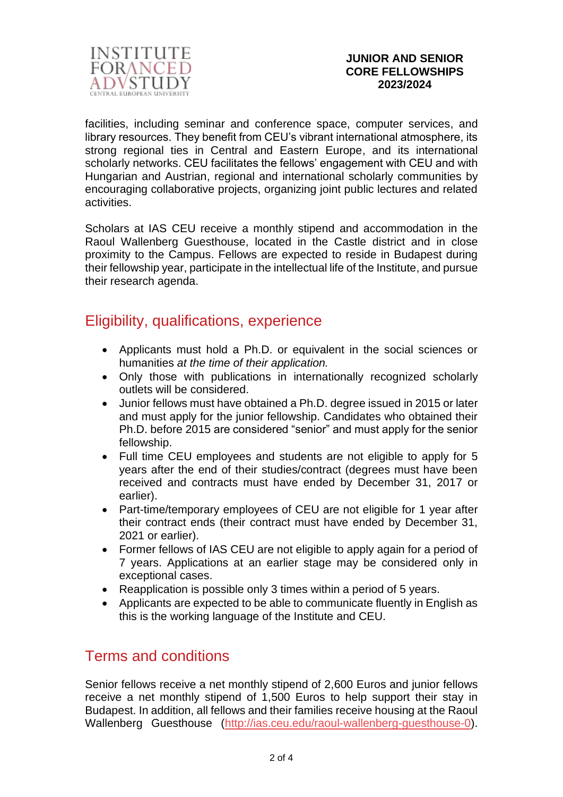

facilities, including seminar and conference space, computer services, and library resources. They benefit from CEU's vibrant international atmosphere, its strong regional ties in Central and Eastern Europe, and its international scholarly networks. CEU facilitates the fellows' engagement with CEU and with Hungarian and Austrian, regional and international scholarly communities by encouraging collaborative projects, organizing joint public lectures and related activities.

Scholars at IAS CEU receive a monthly stipend and accommodation in the Raoul Wallenberg Guesthouse, located in the Castle district and in close proximity to the Campus. Fellows are expected to reside in Budapest during their fellowship year, participate in the intellectual life of the Institute, and pursue their research agenda.

### Eligibility, qualifications, experience

- Applicants must hold a Ph.D. or equivalent in the social sciences or humanities *at the time of their application.*
- Only those with publications in internationally recognized scholarly outlets will be considered.
- Junior fellows must have obtained a Ph.D. degree issued in 2015 or later and must apply for the junior fellowship. Candidates who obtained their Ph.D. before 2015 are considered "senior" and must apply for the senior fellowship.
- Full time CEU employees and students are not eligible to apply for 5 years after the end of their studies/contract (degrees must have been received and contracts must have ended by December 31, 2017 or earlier).
- Part-time/temporary employees of CEU are not eligible for 1 year after their contract ends (their contract must have ended by December 31, 2021 or earlier).
- Former fellows of IAS CEU are not eligible to apply again for a period of 7 years. Applications at an earlier stage may be considered only in exceptional cases.
- Reapplication is possible only 3 times within a period of 5 years.
- Applicants are expected to be able to communicate fluently in English as this is the working language of the Institute and CEU.

### Terms and conditions

Senior fellows receive a net monthly stipend of 2,600 Euros and junior fellows receive a net monthly stipend of 1,500 Euros to help support their stay in Budapest. In addition, all fellows and their families receive housing at the Raoul Wallenberg Guesthouse [\(http://ias.ceu.edu/raoul-wallenberg-guesthouse-0\)](http://ias.ceu.edu/raoul-wallenberg-guesthouse-0).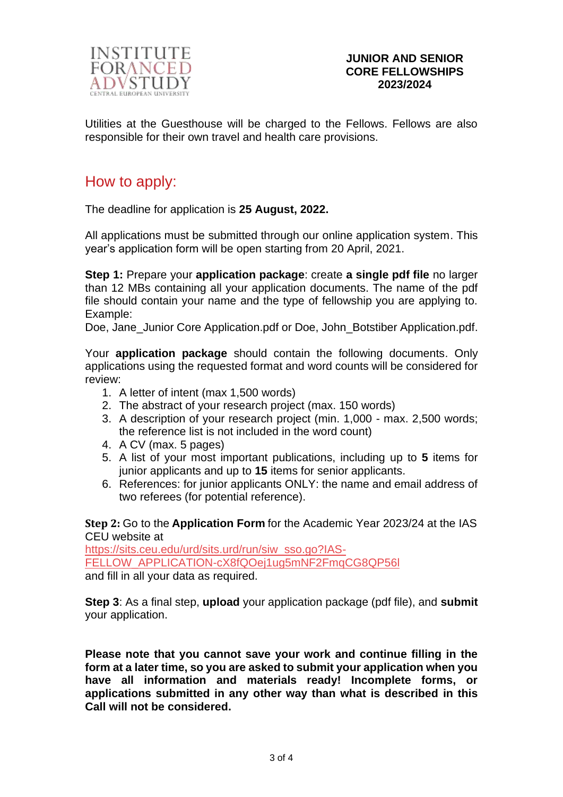

Utilities at the Guesthouse will be charged to the Fellows. Fellows are also responsible for their own travel and health care provisions.

## How to apply:

The deadline for application is **25 August, 2022.**

All applications must be submitted through our online application system. This year's application form will be open starting from 20 April, 2021.

**Step 1:** Prepare your **application package**: create **a single pdf file** no larger than 12 MBs containing all your application documents. The name of the pdf file should contain your name and the type of fellowship you are applying to. Example:

Doe, Jane Junior Core Application.pdf or Doe, John Botstiber Application.pdf.

Your **application package** should contain the following documents. Only applications using the requested format and word counts will be considered for review:

- 1. A letter of intent (max 1,500 words)
- 2. The abstract of your research project (max. 150 words)
- 3. A description of your research project (min. 1,000 max. 2,500 words; the reference list is not included in the word count)
- 4. A CV (max. 5 pages)
- 5. A list of your most important publications, including up to **5** items for junior applicants and up to **15** items for senior applicants.
- 6. References: for junior applicants ONLY: the name and email address of two referees (for potential reference).

**Step 2:** Go to the **Application Form** for the Academic Year 2023/24 at the IAS CEU website at

[https://sits.ceu.edu/urd/sits.urd/run/siw\\_sso.go?IAS-](https://sits.ceu.edu/urd/sits.urd/run/siw_sso.go?IAS-FELLOW_APPLICATION-cX8fQOej1ug5mNF2FmqCG8QP56l)[FELLOW\\_APPLICATION-cX8fQOej1ug5mNF2FmqCG8QP56l](https://sits.ceu.edu/urd/sits.urd/run/siw_sso.go?IAS-FELLOW_APPLICATION-cX8fQOej1ug5mNF2FmqCG8QP56l) and fill in all your data as required.

**Step 3**: As a final step, **upload** your application package (pdf file), and **submit** your application.

**Please note that you cannot save your work and continue filling in the form at a later time, so you are asked to submit your application when you have all information and materials ready! Incomplete forms, or applications submitted in any other way than what is described in this Call will not be considered.**